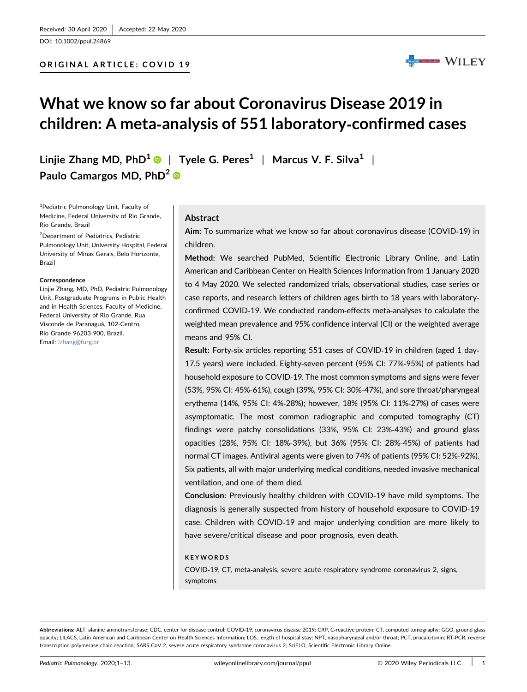DOI: 10.1002/ppul.24869

## ORIGINAL ARTICLE: COVID 19



## What we know so far about Coronavirus Disease 2019 in children: A meta‐analysis of 551 laboratory‐confirmed cases

Linjie Zhang MD, PhD<sup>[1](http://orcid.org/0000-0001-5150-5840)</sup>  $\bullet$  | Tyele G. Peres<sup>1</sup> | Marcus V. F. Silva<sup>1</sup> | Paulo Camargos MD, PhD<sup>[2](http://orcid.org/0000-0003-4731-291X)</sup> ®

<sup>1</sup>Pediatric Pulmonology Unit, Faculty of Medicine, Federal University of Rio Grande, Rio Grande, Brazil

2 Department of Pediatrics, Pediatric Pulmonology Unit, University Hospital, Federal University of Minas Gerais, Belo Horizonte, Brazil

#### Correspondence

Linjie Zhang, MD, PhD, Pediatric Pulmonology Unit, Postgraduate Programs in Public Health and in Health Sciences, Faculty of Medicine, Federal University of Rio Grande, Rua Visconde de Paranaguá, 102‐Centro, Rio Grande 96203‐900, Brazil. Email: [lzhang@furg.br](mailto:lzhang@furg.br)

## Abstract

Aim: To summarize what we know so far about coronavirus disease (COVID‐19) in children.

Method: We searched PubMed, Scientific Electronic Library Online, and Latin American and Caribbean Center on Health Sciences Information from 1 January 2020 to 4 May 2020. We selected randomized trials, observational studies, case series or case reports, and research letters of children ages birth to 18 years with laboratory‐ confirmed COVID‐19. We conducted random‐effects meta‐analyses to calculate the weighted mean prevalence and 95% confidence interval (CI) or the weighted average means and 95% CI.

Result: Forty‐six articles reporting 551 cases of COVID‐19 in children (aged 1 day‐ 17.5 years) were included. Eighty‐seven percent (95% CI: 77%‐95%) of patients had household exposure to COVID‐19. The most common symptoms and signs were fever (53%, 95% CI: 45%‐61%), cough (39%, 95% CI: 30%‐47%), and sore throat/pharyngeal erythema (14%, 95% CI: 4%‐28%); however, 18% (95% CI: 11%‐27%) of cases were asymptomatic. The most common radiographic and computed tomography (CT) findings were patchy consolidations (33%, 95% CI: 23%‐43%) and ground glass opacities (28%, 95% CI: 18%‐39%), but 36% (95% CI: 28%‐45%) of patients had normal CT images. Antiviral agents were given to 74% of patients (95% CI: 52%‐92%). Six patients, all with major underlying medical conditions, needed invasive mechanical ventilation, and one of them died.

Conclusion: Previously healthy children with COVID‐19 have mild symptoms. The diagnosis is generally suspected from history of household exposure to COVID‐19 case. Children with COVID‐19 and major underlying condition are more likely to have severe/critical disease and poor prognosis, even death.

#### **KEYWORDS**

COVID‐19, CT, meta‐analysis, severe acute respiratory syndrome coronavirus 2, signs, symptoms

Abbreviations: ALT, alanine aminotransferase; CDC, center for disease control; COVID-19, coronavirus disease 2019; CRP, C-reactive protein; CT, computed tomography; GGO, ground glass opacity; LILACS, Latin American and Caribbean Center on Health Sciences Information; LOS, length of hospital stay; NPT, nasopharyngeal and/or throat; PCT, procalcitonin; RT-PCR, reverse transcription‐polymerase chain reaction; SARS‐CoV‐2, severe acute respiratory syndrome coronavirus 2; SciELO, Scientific Electronic Library Online.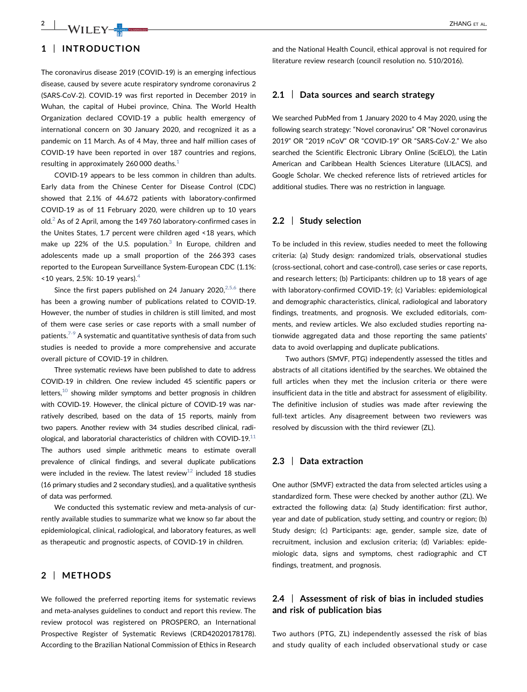# $\frac{2}{2}$   $\frac{1}{2}$   $\frac{1}{2}$   $\frac{1}{2}$   $\frac{1}{2}$   $\frac{1}{2}$   $\frac{1}{2}$   $\frac{1}{2}$   $\frac{1}{2}$   $\frac{1}{2}$   $\frac{1}{2}$   $\frac{1}{2}$   $\frac{1}{2}$   $\frac{1}{2}$   $\frac{1}{2}$   $\frac{1}{2}$   $\frac{1}{2}$   $\frac{1}{2}$   $\frac{1}{2}$   $\frac{1}{2}$   $\frac{1}{2}$   $\frac{1}{2}$

## 1 | INTRODUCTION

The coronavirus disease 2019 (COVID‐19) is an emerging infectious disease, caused by severe acute respiratory syndrome coronavirus 2 (SARS‐CoV‐2). COVID‐19 was first reported in December 2019 in Wuhan, the capital of Hubei province, China. The World Health Organization declared COVID‐19 a public health emergency of international concern on 30 January 2020, and recognized it as a pandemic on 11 March. As of 4 May, three and half million cases of COVID‐19 have been reported in over 187 countries and regions, resulting in approximately 260 000 deaths. $1$ 

COVID‐19 appears to be less common in children than adults. Early data from the Chinese Center for Disease Control (CDC) showed that 2.1% of 44.672 patients with laboratory‐confirmed COVID‐19 as of 11 February 2020, were children up to 10 years old.[2](#page-10-0) As of 2 April, among the 149 760 laboratory‐confirmed cases in the Unites States, 1.7 percent were children aged <18 years, which make up 22% of the U.S. population. $3$  In Europe, children and adolescents made up a small proportion of the 266 393 cases reported to the European Surveillance System‐European CDC (1.1%:  $\times$ 10 years, 2.5%: 10-19 years).<sup>[4](#page-10-0)</sup>

Since the first papers published on 24 January 2020, $2,5,6$  there has been a growing number of publications related to COVID‐19. However, the number of studies in children is still limited, and most of them were case series or case reports with a small number of patients. $7-9$  $7-9$  A systematic and quantitative synthesis of data from such studies is needed to provide a more comprehensive and accurate overall picture of COVID‐19 in children.

Three systematic reviews have been published to date to address COVID‐19 in children. One review included 45 scientific papers or letters, $10$  showing milder symptoms and better prognosis in children with COVID-19. However, the clinical picture of COVID-19 was narratively described, based on the data of 15 reports, mainly from two papers. Another review with 34 studies described clinical, radiological, and laboratorial characteristics of children with COVID‐19.[11](#page-10-0) The authors used simple arithmetic means to estimate overall prevalence of clinical findings, and several duplicate publications were included in the review. The latest review<sup>12</sup> included 18 studies (16 primary studies and 2 secondary studies), and a qualitative synthesis of data was performed.

We conducted this systematic review and meta‐analysis of currently available studies to summarize what we know so far about the epidemiological, clinical, radiological, and laboratory features, as well as therapeutic and prognostic aspects, of COVID‐19 in children.

## 2 | METHODS

We followed the preferred reporting items for systematic reviews and meta‐analyses guidelines to conduct and report this review. The review protocol was registered on PROSPERO, an International Prospective Register of Systematic Reviews (CRD42020178178). According to the Brazilian National Commission of Ethics in Research and the National Health Council, ethical approval is not required for literature review research (council resolution no. 510/2016).

## 2.1 | Data sources and search strategy

We searched PubMed from 1 January 2020 to 4 May 2020, using the following search strategy: "Novel coronavirus" OR "Novel coronavirus 2019" OR "2019 nCoV" OR "COVID‐19" OR "SARS‐CoV‐2." We also searched the Scientific Electronic Library Online (SciELO), the Latin American and Caribbean Health Sciences Literature (LILACS), and Google Scholar. We checked reference lists of retrieved articles for additional studies. There was no restriction in language.

## 2.2 | Study selection

To be included in this review, studies needed to meet the following criteria: (a) Study design: randomized trials, observational studies (cross‐sectional, cohort and case‐control), case series or case reports, and research letters; (b) Participants: children up to 18 years of age with laboratory-confirmed COVID-19; (c) Variables: epidemiological and demographic characteristics, clinical, radiological and laboratory findings, treatments, and prognosis. We excluded editorials, comments, and review articles. We also excluded studies reporting nationwide aggregated data and those reporting the same patients' data to avoid overlapping and duplicate publications.

Two authors (SMVF, PTG) independently assessed the titles and abstracts of all citations identified by the searches. We obtained the full articles when they met the inclusion criteria or there were insufficient data in the title and abstract for assessment of eligibility. The definitive inclusion of studies was made after reviewing the full-text articles. Any disagreement between two reviewers was resolved by discussion with the third reviewer (ZL).

## 2.3 | Data extraction

One author (SMVF) extracted the data from selected articles using a standardized form. These were checked by another author (ZL). We extracted the following data: (a) Study identification: first author, year and date of publication, study setting, and country or region; (b) Study design; (c) Participants: age, gender, sample size, date of recruitment, inclusion and exclusion criteria; (d) Variables: epidemiologic data, signs and symptoms, chest radiographic and CT findings, treatment, and prognosis.

## 2.4 | Assessment of risk of bias in included studies and risk of publication bias

Two authors (PTG, ZL) independently assessed the risk of bias and study quality of each included observational study or case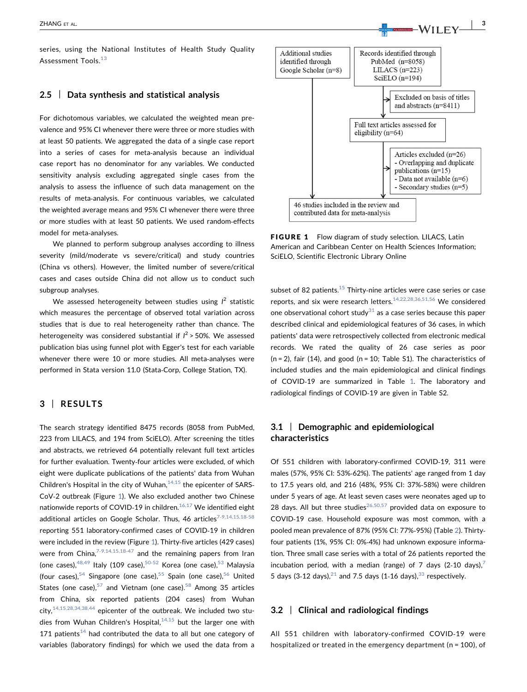series, using the National Institutes of Health Study Quality Assessment Tools.[13](#page-10-0)

## 2.5 | Data synthesis and statistical analysis

For dichotomous variables, we calculated the weighted mean prevalence and 95% CI whenever there were three or more studies with at least 50 patients. We aggregated the data of a single case report into a series of cases for meta-analysis because an individual case report has no denominator for any variables. We conducted sensitivity analysis excluding aggregated single cases from the analysis to assess the influence of such data management on the results of meta‐analysis. For continuous variables, we calculated the weighted average means and 95% CI whenever there were three or more studies with at least 50 patients. We used random‐effects model for meta‐analyses.

We planned to perform subgroup analyses according to illness severity (mild/moderate vs severe/critical) and study countries (China vs others). However, the limited number of severe/critical cases and cases outside China did not allow us to conduct such subgroup analyses.

We assessed heterogeneity between studies using  $l^2$  statistic which measures the percentage of observed total variation across studies that is due to real heterogeneity rather than chance. The heterogeneity was considered substantial if  $I^2$  > 50%. We assessed publication bias using funnel plot with Egger's test for each variable whenever there were 10 or more studies. All meta-analyses were performed in Stata version 11.0 (Stata‐Corp, College Station, TX).

## 3 | RESULTS

The search strategy identified 8475 records (8058 from PubMed, 223 from LILACS, and 194 from SciELO). After screening the titles and abstracts, we retrieved 64 potentially relevant full text articles for further evaluation. Twenty‐four articles were excluded, of which eight were duplicate publications of the patients' data from Wuhan Children's Hospital in the city of Wuhan, $14,15$  the epicenter of SARS-CoV‐2 outbreak (Figure [1\)](#page-2-0). We also excluded another two Chinese nationwide reports of COVID-19 in children.<sup>[16,17](#page-11-0)</sup> We identified eight additional articles on Google Scholar. Thus,  $46$  articles<sup>7-[9,14,15,18](#page-10-0)-58</sup> reporting 551 laboratory‐confirmed cases of COVID‐19 in children were included in the review (Figure [1](#page-2-0)). Thirty-five articles (429 cases) were from China, $7-9,14,15,18-47$  $7-9,14,15,18-47$  $7-9,14,15,18-47$  and the remaining papers from Iran (one cases), $48,49$  Italy (109 case), $50-52$  $50-52$  Korea (one case), $53$  Malaysia (four cases),  $54$  Singapore (one case),  $55$  Spain (one case),  $56$  United States (one case), $57$  and Vietnam (one case).<sup>[58](#page-12-0)</sup> Among 35 articles from China, six reported patients (204 cases) from Wuhan city,  $14,15,28,34,38,44$  epicenter of the outbreak. We included two studies from Wuhan Children's Hospital, $14,15$  but the larger one with 171 patients<sup>[14](#page-10-0)</sup> had contributed the data to all but one category of variables (laboratory findings) for which we used the data from a



<span id="page-2-0"></span>FIGURE 1 Flow diagram of study selection. LILACS, Latin American and Caribbean Center on Health Sciences Information; SciELO, Scientific Electronic Library Online

subset of 82 patients. $15$  Thirty-nine articles were case series or case reports, and six were research letters.<sup>[14,22,28,36,51,56](#page-10-0)</sup> We considered one observational cohort study $31$  as a case series because this paper described clinical and epidemiological features of 36 cases, in which patients' data were retrospectively collected from electronic medical records. We rated the quality of 26 case series as poor  $(n = 2)$ , fair (14), and good  $(n = 10;$  Table S1). The characteristics of included studies and the main epidemiological and clinical findings of COVID‐19 are summarized in Table [1.](#page-3-0) The laboratory and radiological findings of COVID‐19 are given in Table S2.

## 3.1 | Demographic and epidemiological characteristics

Of 551 children with laboratory‐confirmed COVID‐19, 311 were males (57%, 95% CI: 53%‐62%). The patients' age ranged from 1 day to 17.5 years old, and 216 (48%, 95% CI: 37%‐58%) were children under 5 years of age. At least seven cases were neonates aged up to 28 days. All but three studies<sup>26,50,57</sup> provided data on exposure to COVID‐19 case. Household exposure was most common, with a pooled mean prevalence of 87% (95% CI: 77%‐95%) (Table [2\)](#page-7-0). Thirty‐ four patients (1%, 95% CI: 0%‐4%) had unknown exposure information. Three small case series with a total of 26 patients reported the incubation period, with a median (range) of [7](#page-10-0) days  $(2-10 \text{ days})$ , 5 days (3-12 days), $21$  and 7.5 days (1-16 days), $33$  respectively.

## 3.2 | Clinical and radiological findings

All 551 children with laboratory‐confirmed COVID‐19 were hospitalized or treated in the emergency department (n = 100), of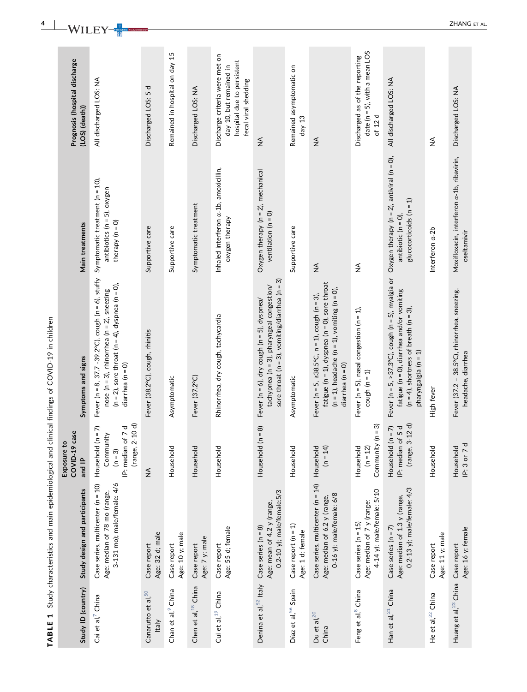<span id="page-3-0"></span>

| H<br>TABLE                          | Study characteristics and main epidemiological and                                               |                                                                                                   | clinical findings of COVID-19 in children                                                                                                                                                      |                                                                                                            |                                                                                                                 |
|-------------------------------------|--------------------------------------------------------------------------------------------------|---------------------------------------------------------------------------------------------------|------------------------------------------------------------------------------------------------------------------------------------------------------------------------------------------------|------------------------------------------------------------------------------------------------------------|-----------------------------------------------------------------------------------------------------------------|
| Study ID (country)                  | Study design and participants                                                                    | case<br>$\overline{5}$<br>COVID-19<br>Exposure t<br>and IP                                        | Symptoms and signs                                                                                                                                                                             | Main treatments                                                                                            | Prognosis (hospital discharge<br>(LOS) (death))                                                                 |
| Cai et al, <sup>7</sup> China       | Case series, multicenter (n = 10)<br>3-131 mo); male/female: 4/6<br>Age: median of 78 mo (range, | $2 - 10 d$<br>of 7 d<br>$(n = 7)$<br>Community<br>Household<br>IP: median<br>(range,<br>$(n = 3)$ | Fever (n = 8, 37.7 - 39.2°C), cough (n = 6), stuffy<br>( $n = 2$ ), sore throat ( $n = 4$ ), dyspnea ( $n = 0$ ),<br>nose ( $n = 3$ ), rhinorrhea ( $n = 2$ ), sneezing<br>$d$ iarrhea (n = 0) | Symptomatic treatment (n = 10),<br>$antibiotics (n = 5), oxygen$<br>therapy $(n = 0)$                      | All discharged LOS: NA                                                                                          |
| Canarutto et al, 50<br><b>Italy</b> | Age: 32 d; male<br>Case report                                                                   | $\frac{1}{2}$                                                                                     | Fever (38.2°C), cough, rhinitis                                                                                                                                                                | Supportive care                                                                                            | Discharged LOS: 5 d                                                                                             |
| Chan et al, <sup>9</sup> China      | Age: 10 y; male<br>Case report                                                                   | Household                                                                                         | Asymptomatic                                                                                                                                                                                   | Supportive care                                                                                            | Remained in hospital on day 15                                                                                  |
| Chen et al, <sup>18</sup> China     | Age: 7 y; male<br>Case report                                                                    | Household                                                                                         | Fever (37.2°C)                                                                                                                                                                                 | Symptomatic treatment                                                                                      | Discharged LOS: NA                                                                                              |
| Cui et al, <sup>19</sup> China      | Age: 55 d; female<br>Case report                                                                 | Household                                                                                         | Rhinorrhea, dry cough, tachycardia                                                                                                                                                             | Inhaled interferon a-1b, amoxicillin,<br>oxygen therapy                                                    | Discharge criteria were met on<br>hospital due to persistent<br>day 10, but remained in<br>fecal viral shedding |
| Denina et al, 52 Italy              | $0.2 - 10$ y); male/female:5/3<br>Age: mean of 4.2 y (range,<br>Case series $(n = 8)$            | $(n = 8)$<br>Household                                                                            | sore throat ( $n = 3$ ), vomiting/diarrhea ( $n = 3$ )<br>tachypnea (n = 3), pharyngeal congestion/<br>Fever ( $n = 6$ ), dry cough ( $n = 5$ ), dyspnea/                                      | Oxygen therapy $(n = 2)$ , mechanical<br>ventilation $(n = 0)$                                             | $\mathop{\leq}\limits_{{\mathop{\mathsf{Z}}}}$                                                                  |
| Díaz et al, 56 Spain                | Case report $(n = 1)$<br>Age: 1 d; female                                                        | Household                                                                                         | Asymptomatic                                                                                                                                                                                   | Supportive care                                                                                            | Remained asymptomatic on<br>day $13$                                                                            |
| Du et al, $^{20}$<br>China          | Case series, multicenter (n = 14)<br>0-16 y); male/female: 6/8<br>Age: median of 6.2 y (range,   | Household<br>$(n = 14)$                                                                           | fatigue ( $n = 1$ ), dyspnea ( $n = 0$ ), sore throat<br>$(n = 1)$ , headache $(n = 1)$ , vomiting $(n = 0)$ ,<br>Fever (n = 5, $\geq$ 38.5°C, n = 1), cough (n = 3),<br>diarrhea $(n = 0)$    | $\lessgtr$                                                                                                 | $\stackrel{\triangleleft}{\geq}$                                                                                |
| Feng et al, <sup>8</sup> China      | 4-14 y); male/female: 5/10<br>Age: median of 7 y (range:<br>Case series $(n = 15)$               | Community $(n = 3)$<br>Household<br>$(n = 12)$                                                    | Fever ( $n = 5$ ), nasal congestion ( $n = 1$ ),<br>cough $(n = 1)$                                                                                                                            | $\frac{4}{2}$                                                                                              | date ( $n = 5$ ), with a mean LOS<br>Discharged as of the reporting<br>of 12 d                                  |
| Han et al, <sup>21</sup> China      | $0.2-13$ y); male/female: $4/3$<br>Age: median of 1.3 y (range,<br>Case series $(n = 7)$         | $3 - 12$ d)<br>$(n = 7)$<br>of 5 d<br>Household<br>IP: median<br>(range,                          | Fever ( $n = 5$ , >37.3°C), cough ( $n = 5$ ), myalgia or<br>fatigue (n = 0), diarrhea and/or vomiting<br>$(n = 4)$ , shortness of breath $(n = 3)$ ,<br>pharyngalgia ( $n = 1$ )              | Oxygen therapy ( $n = 2$ ), antiviral ( $n = 0$ ),<br>$glucocorticoids (n = 1)$<br>antibiotic ( $n = 0$ ), | All discharged LOS: NA                                                                                          |
| He et al, <sup>22</sup> China       | Age: 11 y; male<br>Case report                                                                   | Household                                                                                         | High fever                                                                                                                                                                                     | Interferon a-2b                                                                                            | $\frac{1}{2}$                                                                                                   |
| Huang et al, <sup>23</sup> China    | Age: 16 y; female<br>Case report                                                                 | IP: 3 or 7 d<br>Household                                                                         | Fever (37.2 - 38.5°C), rhinorrhea, sneezing,<br>headache, diarrhea                                                                                                                             | Moxifloxacin, interferon a-1b, ribavirin,<br>oseltamivir                                                   | Discharged LOS: NA                                                                                              |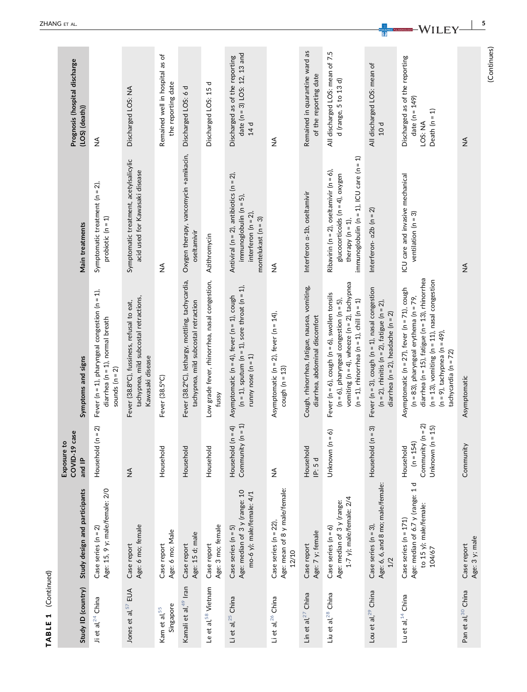| Study ID (country)                    | Study design and participants                                                                 | COVID-19 case<br>Exposure to<br>and IP                                    | Symptoms and signs                                                                                                                                                                                                                                                          | Main treatments                                                                                                                                            | Prognosis (hospital discharge<br>$(LOS)$ $(death)$                               |
|---------------------------------------|-----------------------------------------------------------------------------------------------|---------------------------------------------------------------------------|-----------------------------------------------------------------------------------------------------------------------------------------------------------------------------------------------------------------------------------------------------------------------------|------------------------------------------------------------------------------------------------------------------------------------------------------------|----------------------------------------------------------------------------------|
| Ji et al, <sup>24</sup> China         | Age: 15, 9 y; male/female: 2/0<br>Case series $(n = 2)$                                       | Household $(n = 2)$                                                       | Fever ( $n = 1$ ), pharyngeal congestion ( $n = 1$ ),<br>diarrhea ( $n = 1$ ), normal breath<br>sounds $(n = 2)$                                                                                                                                                            | Symptomatic treatment ( $n = 2$ ),<br>probiotic $(n = 1)$                                                                                                  | $\frac{4}{2}$                                                                    |
| Jones et al, 57 EUA                   | Age: 6 mo; female<br>Case report                                                              | $\frac{4}{2}$                                                             | tachypnea, mild subcostal retractions,<br>Fever (38.8°C), fussiness, refusal to eat,<br>Kawasaki disease                                                                                                                                                                    | Symptomatic treatment, acetylsalicylic<br>acid used for Kawasaki disease                                                                                   | Discharged LOS: NA                                                               |
| Singapore<br>Kam et al. <sup>55</sup> | Age: 6 mo; Male<br>Case report                                                                | Household                                                                 | Fever (38.5°C)                                                                                                                                                                                                                                                              | ≸                                                                                                                                                          | Remained well in hospital as of<br>the reporting date                            |
| Kamali et al, <sup>49</sup> Iran      | Age: 15 d; male<br>Case report                                                                | Household                                                                 | Fever (38.2°C), lethargy, mottling, tachycardia,<br>tachypnea, mild subcostal retraction                                                                                                                                                                                    | Oxygen therapy, vancomycin +amikacin,<br>oseltamivir                                                                                                       | Discharged LOS: 6 d                                                              |
| Le et al, <sup>58</sup> Vietnam       | Age: 3 mo; female<br>Case report                                                              | Household                                                                 | Low grade fever, rhinorrhea, nasal congestion,<br>fussy                                                                                                                                                                                                                     | Azithromycin                                                                                                                                               | ᅙ<br>Discharged LOS: 15                                                          |
| Li et al, <sup>25</sup> China         | Age: median of 3 y (range: 10<br>mo-6 y); male/female: 4/1<br>Case series $(n = 5)$           | $(n = 1)$<br>Household $(n = 4)$<br>Community                             | $(n = 1)$ , sputum $(n = 1)$ , sore throat $(n = 1)$ ,<br>Asymptomatic ( $n = 4$ ), fever ( $n = 1$ ), cough<br>runny nose $(n = 1)$                                                                                                                                        | Antiviral ( $n = 2$ ), antibiotics ( $n = 2$ ),<br>immunoglobulin $(n = 5)$<br>interferon ( $n = 2$ ),<br>montelukast $(n = 3)$                            | date ( $n = 3$ ) LOS: 12, 13 and<br>Discharged as of the reporting<br>14d        |
| Li et al, <sup>26</sup> China         | Age: mean of 8 y male/female:<br>Case series ( $n = 22$ )<br>12/10                            | ≨                                                                         | Asymptomatic ( $n = 2$ ), fever ( $n = 14$ ),<br>cough ( $n = 13$ )                                                                                                                                                                                                         | ≸                                                                                                                                                          | ≨                                                                                |
| Lin et al, <sup>27</sup> China        | Age: 7 y; female<br>Case report                                                               | Household<br>IP: 5 d                                                      | Cough, rhinorrhea, fatigue, nausea, vomiting,<br>diarrhea, abdominal discomfort                                                                                                                                                                                             | Interferon a-1b, oseltamivir                                                                                                                               | Remained in quarantine ward as<br>of the reporting date                          |
| Liu et al, <sup>28</sup> China        | 1-7 y); male/female: 2/4<br>Age: median of 3 y (range:<br>Case series $(n = 6)$               | $= 6$<br>Unknown (n                                                       | vomiting ( $n = 4$ ), wheeze ( $n = 2$ ), tachypnea<br>Fever ( $n = 6$ ), cough ( $n = 6$ ), swollen tonsils<br>$(n = 6)$ , pharyngeal congestion $(n = 5)$ ,<br>$(n = 1)$ , rhinorrhea $(n = 1)$ , chill $(n = 1)$                                                         | immunoglobulin ( $n = 1$ ), ICU care ( $n = 1$ )<br>Ribavirin (n = 2), oseltamivir (n = 6),<br>glucocorticoids ( $n = 4$ ), oxygen<br>therapy ( $n = 1$ ), | All discharged LOS: mean of 7.5<br>d (range, 5 to 13 d)                          |
| Lou et al. <sup>29</sup> China        | Age: 6, 6, and 8 mo; male/female:<br>Case series $(n = 3)$ ,<br>1/2                           | Household $(n = 3)$                                                       | Fever ( $n = 3$ ), cough ( $n = 1$ ), nasal congestion<br>$(n = 2)$ , rhinitis $(n = 2)$ , fatigue $(n = 2)$ ,<br>diarrhea (n = 2), headache (n = 2)                                                                                                                        | Interferon- $\alpha$ 2b (n = 2)                                                                                                                            | All discharged LOS: mean of<br>10d                                               |
| Lu et al, <sup>14</sup> China         | Age: median of 6.7 y (range: 1 d<br>to 15 y); male/female:<br>Case series (n = 171)<br>104/67 | Community ( $n = 2$ )<br>$= 15$<br>$(n = 154)$<br>Unknown (n<br>Household | diarrhea (n = 15), fatigue (n = 13), rhinorrhea<br>$(n = 13)$ , vomiting $(n = 11)$ , nasal congestion<br>Asymptomatic ( $n = 27$ ), fever ( $n = 71$ ), cough<br>$(n = 83)$ , pharyngeal erythema $(n = 79,$<br>$(n = 9)$ , tachypnea $(n = 49)$ ,<br>tachycardia (n = 72) | ICU care and invasive mechanical<br>ventilation ( $n = 3$ )                                                                                                | Discharged as of the reporting<br>date $(n = 149)$<br>Death $(n = 1)$<br>LOS: NA |
| Pan et al, <sup>30</sup> China        | Age: 3 y; male<br>Case report                                                                 | Community                                                                 | Asymptomatic                                                                                                                                                                                                                                                                | $\frac{1}{2}$                                                                                                                                              | $\frac{4}{2}$                                                                    |

TABLE 1 (Continued)

TABLE 1 (Continued)

**EDIATRIC RULMONOUGEN — WILEY-**

(Continues)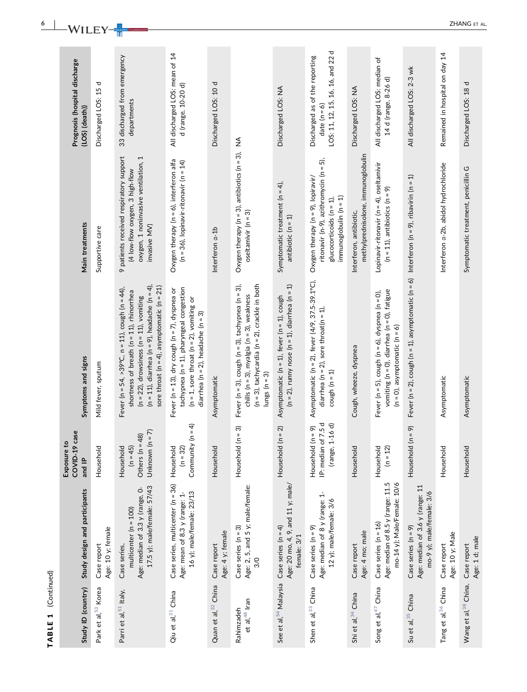| (Continued)<br>$\blacktriangledown$<br>TABLE |                                                                                                             |                                                                       |                                                                                                                                                                                                                                                                 |                                                                                                                                          |                                                                                       |
|----------------------------------------------|-------------------------------------------------------------------------------------------------------------|-----------------------------------------------------------------------|-----------------------------------------------------------------------------------------------------------------------------------------------------------------------------------------------------------------------------------------------------------------|------------------------------------------------------------------------------------------------------------------------------------------|---------------------------------------------------------------------------------------|
| Study ID (country)                           | Study design and participants                                                                               | COVID-19 case<br>Exposure to<br>and IP                                | Symptoms and signs                                                                                                                                                                                                                                              | Main treatments                                                                                                                          | Prognosis (hospital discharge<br>(LOS) (death))                                       |
| Park et al, <sup>53</sup> Korea              | Age: 10 y; female<br>Case report                                                                            | Household                                                             | Mild fever, sputum                                                                                                                                                                                                                                              | Supportive care                                                                                                                          | ᠊ᠣ<br>Discharged LOS: 15                                                              |
| Parri et al, 51 Italy,                       | 17.5 y); male/female: 57/43<br>Age: median of 3.3 y (range, 0-<br>multicenter ( $n = 100$ )<br>Case series, | $= 7$<br>Others ( $n = 48$ )<br>Unknown (n<br>$(n = 45)$<br>Household | $(n = 11)$ , diarrhea $(n = 9)$ , headache $(n = 4)$ ,<br>sore throat ( $n = 4$ ), asymptomatic ( $n = 21$ )<br>Fever (n = 54, >39°C, n = 11), cough (n = 44),<br>shortness of breath ( $n = 11$ ), rhinorrhea<br>$(n = 22)$ , drowsiness $(n = 11)$ , vomiting | 9 patients received respiratory support<br>oxygen, 1 noninvasive ventilation, 1<br>(4 low-flow oxygen, 3 high-flow<br>invasive MV)       | 33 discharged from emergency<br>departments                                           |
| Qiu et al, <sup>31</sup> China               | Case series, multicenter (n = 36)<br>16 y); male/female: 23/13<br>Age: mean of 8.3 y (range: 1-             | $(h = 4)$<br>Community<br>$(n = 32)$<br>Household                     | $tachypnea (n = 1), pharyngeal congestion$<br>Fever (n = 13), dry cough (n = 7), dyspnea or<br>$(n = 1,$ sore throat $(n = 2)$ , vomiting or<br>diarrhea ( $n = 2$ ), headache ( $n = 3$ )                                                                      | Oxygen therapy ( $n = 6$ ), interferon alfa<br>$(n = 36)$ , lopinavir-ritonavir $(n = 14)$                                               | All discharged LOS: mean of 14<br>d (range, 10-20 d)                                  |
| Quan et al, <sup>32</sup> China              | Age: 4 y; female<br>Case report                                                                             | Household                                                             | Asymptomatic                                                                                                                                                                                                                                                    | Interferon a-1b                                                                                                                          | Discharged LOS: 10 d                                                                  |
| et al, 48 Iran<br>Rahimzadeh                 | Age: 2, 5, and 5 y; male/female:<br>Case series $(n = 3)$<br>3/0                                            | $\widehat{\mathfrak{G}}$<br>Household (n =                            | $(n = 3)$ , tachycardia $(n = 2)$ , crackle in both<br>Fever (n = 3), cough (n = 3), tachypnea (n = 3),<br>chills ( $n = 3$ ), myalgia ( $n = 3$ ), weakness<br>lungs ( $n = 3$ )                                                                               | Oxygen therapy ( $n = 3$ ), antibiotics ( $n = 3$ ),<br>oseltamivir ( $n = 3$ )                                                          | ≨                                                                                     |
| See et al, 54 Malaysia                       | Age: 20 mo, 4, 9, and 11 y; male/<br>Case series $(n = 4)$<br>female: 3/1                                   | Household $(n = 2)$                                                   | $(n = 2)$ , runny nose $(n = 1)$ , diarrhea $(n = 1)$<br>Asymptomatic ( $n = 1$ ), fever ( $n = 1$ ), cough                                                                                                                                                     | Symptomatic treatment $(n = 4)$ ,<br>antibiotic $(n = 1)$                                                                                | Discharged LOS: NA                                                                    |
| Shen et al, 33 China                         | Age: median of 8 y (range: 1-<br>12 y); male/female: 3/6<br>Case series (n = 9)                             | IP: median of 7.5 d<br>(range, 1-16 d)<br>Household (n = 9)           | Asymptomatic (n = 2), fever (4/9, 37.5-39.1°C),<br>diarrhea (n = 2), sore throat(n = 1),<br>cough $(n = 1)$                                                                                                                                                     | ritonavir (n-9), azithromycin (n = 5),<br>Oxygen therapy (n = 9), lopiravir/<br>$immunoglobulin (n = 1)$<br>glucocorticoids ( $n = 1$ ), | LOS: 11, 12, 15, 16, 16, and 22 d<br>Discharged as of the reporting<br>date $(n = 6)$ |
| Shi et al, <sup>34</sup> China               | Age: 4 mo; male<br>Case report                                                                              | Household                                                             | Cough, wheeze, dyspnea                                                                                                                                                                                                                                          | methylprednisolone, immunoglobulin<br>Interferon, antibiotic,                                                                            | Discharged LOS: NA                                                                    |
| Song et al, $47$ China                       | Age: median of 8.5 y (range: 11.5<br>mo-14 y); Male/Female: 10/6<br>Case series ( $n = 16$ )                | Household<br>$(n = 12)$                                               | vomiting ( $n = 0$ ), diarrhea ( $n = 0$ ), fatigue<br>Fever ( $n = 5$ ), cough ( $n = 6$ ), dyspnea ( $n = 0$ ),<br>$(n = 0)$ , asymptomatic $(n = 6)$                                                                                                         | Lopinavir-ritonavir (n = 4), oseltamivir<br>$(n = 11)$ , antibiotics $(n = 9)$                                                           | All discharged LOS: median of<br>14 d (range, 8-26 d)                                 |
| Su et al, <sup>35</sup> China                | Age: median of 3.6 y (range: 11<br>mo-9 y); male/female: 3/6<br>Case series $(n = 9)$                       | Household (n = 9)                                                     | Fever (n = 2), cough (n = 1), asymptomatic (n = 6) Interferon (n = 9), ribavirin (n = 1)                                                                                                                                                                        |                                                                                                                                          | All discharged LOS: 2-3 wk                                                            |
| Tang et al, 36 China                         | Age: 10 y; Male<br>Case report                                                                              | Household                                                             | Asymptomatic                                                                                                                                                                                                                                                    | Interferon a-2b, abidol hydrochloride                                                                                                    | Remained in hospital on day 14                                                        |
| Wang et al, 38 China,                        | Age: 1 d; male<br>Case report                                                                               | Household                                                             | Asymptomatic                                                                                                                                                                                                                                                    | Symptomatic treatment, penicillin G                                                                                                      | Discharged LOS: 18 d                                                                  |

<sup>6</sup> | **XA/II EX PRODUCT ALL ANGLES**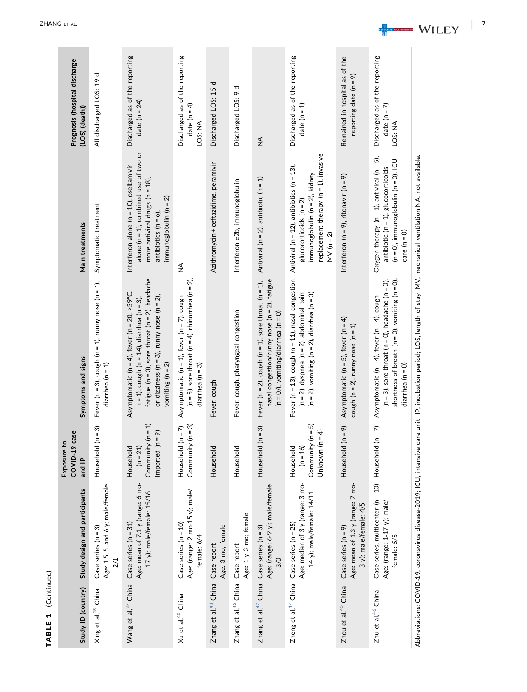| Study ID (country)                                   | Study design and participants                                                                                 | COVID-19 case<br>Exposure to<br>and IP                               | Symptoms and signs                                                                                                                                                                                                                               | Main treatments                                                                                                                                                                     | Prognosis (hospital discharge<br>$(LOS)$ $(death)$            |
|------------------------------------------------------|---------------------------------------------------------------------------------------------------------------|----------------------------------------------------------------------|--------------------------------------------------------------------------------------------------------------------------------------------------------------------------------------------------------------------------------------------------|-------------------------------------------------------------------------------------------------------------------------------------------------------------------------------------|---------------------------------------------------------------|
| Xing et al, <sup>39</sup> China                      | Age: 1.5, 5, and 6 y; male/female:<br>Case series $(n = 3)$<br>$\frac{2}{1}$                                  | Household $(n = 3)$                                                  | Fever (n = 3), cough (n = 1), runny nose (n = 1),<br>diarrhea $(n = 1)$                                                                                                                                                                          | Symptomatic treatment                                                                                                                                                               | ᠊ᠣ<br>All discharged LOS: 19                                  |
| Wang et al, 37 China                                 | Age: mean of 7.1 y (range: 6 mo-<br>17 y); male/female: 15/16<br>Case series (n = 31)                         | Community $(n = 1)$<br>Imported $(n = 9)$<br>Household<br>$(n = 21)$ | fatigue ( $n = 3$ ), sore throat ( $n = 2$ ), headache<br>Asymptomatic ( $n = 4$ ), fever ( $n = 20$ , >39°C,<br>or dizziness ( $n = 3$ ), runny nose ( $n = 2$ ),<br>$n = 1$ ), cough ( $n = 14$ ), diarrhea ( $n = 3$ ),<br>vomiting $(n = 2)$ | alone ( $n = 1$ ), combined use of two or<br>Interferon alone ( $n = 10$ ), oseltamivir<br>more antiviral drugs ( $n = 18$ ).<br>immunoglobulin (n = 2)<br>antibiotics ( $n = 6$ ), | Discharged as of the reporting<br>date ( $n = 24$ )           |
| Xu et al, <sup>40</sup> China                        | Age: (range: 2 mo-15 y); male/<br>Case series ( $n = 10$ )<br>female: 6/4                                     | Community $(n = 3)$<br>Household $(n = 7)$                           | ( $n = 5$ ), sore throat ( $n = 4$ ), rhinorrhea ( $n = 2$ ),<br>Asymptomatic ( $n = 1$ ), fever ( $n = 7$ ), cough<br>diarrhea ( $n = 3$ )                                                                                                      | $\lessgtr$                                                                                                                                                                          | Discharged as of the reporting<br>date ( $n = 4$ )<br>LOS: NA |
| Zhang et al, <sup>41</sup> China                     | Age: 3 mo; female<br>Case report                                                                              | Household                                                            | Fever, cough                                                                                                                                                                                                                                     | Azithromycin + ceftazidime, peramivir                                                                                                                                               | ᅙ<br>Discharged LOS: 15                                       |
| Zhang et al, <sup>42</sup> China                     | Age: 1 y 3 mo; female<br>Case report                                                                          | Household                                                            | Fever, cough, pharyngeal congestion                                                                                                                                                                                                              | Interferon a2b, immunoglobulin                                                                                                                                                      | ᠊ᠣ<br>Discharged LOS: 9                                       |
| Zhang et al, <sup>43</sup> China Case series (n = 3) | Age: (range: 6-9 y); male/female:<br>$\frac{8}{2}$                                                            | $(n = 3)$<br>Household                                               | nasal congestion/runny nose ( $n = 2$ ), fatigue<br>Fever ( $n = 2$ ), cough ( $n = 1$ ), sore throat ( $n = 1$ ),<br>$(n = 0)$ , vomiting/diarrhea $(n = 0)$                                                                                    | Antiviral ( $n = 2$ ), antibiotic ( $n = 1$ )                                                                                                                                       | $\frac{1}{2}$                                                 |
|                                                      | Age: median of 3 y (range: 3 mo-<br>14 y); male/female: 14/11<br>Zheng et al, $44$ China Case series (n = 25) | Community $(n = 5)$<br>Unknown $(n = 4)$<br>Household<br>$(n = 16)$  | Fever (n = 13), cough (n = 11), nasal congestion Antiviral (n = 12), antibiotics (n = 13),<br>$(n = 2)$ , vomiting $(n = 2)$ , diarrhea $(n = 3)$<br>$(n = 2)$ , dyspnea $(n = 2)$ , abdominal pain                                              | replacement therapy $(n = 1)$ , invasive<br>immunoglobulin ( $n = 2$ ), kidney<br>glucocorticoids $(n = 2)$<br>MV ( $n = 2$ )                                                       | Discharged as of the reporting<br>date (n = 1)                |
| Zhou et al, <sup>45</sup> China                      | Age: mean of 1.3 y (range: 7 mo-<br>3 y); male/female: 4/5<br>Case series $(n = 9)$                           | Household (n = 9)                                                    | Asymptomatic ( $n = 5$ ), fever ( $n = 4$ )<br>cough ( $n = 2$ ), runny nose ( $n = 1$ )                                                                                                                                                         | Interferon ( $n = 9$ ), ritonavir ( $n = 9$ )                                                                                                                                       | Remained in hospital as of the<br>reporting date ( $n = 9$ )  |
| Zhu et al, <sup>46</sup> China                       | Case series, multicenter (n = 10) Household<br>Age: (range: 1-17 y); male/<br>female: 5/5                     | $(n = 7)$                                                            | shortness of breath ( $n = 0$ ), vomiting ( $n = 0$ ),<br>$(n = 3)$ , sore throat $(n = 0)$ , headache $(n = 0)$ ,<br>Asymptomatic ( $n = 4$ ), fever ( $n = 4$ ), cough<br>diarrhea ( $n = 0$ )                                                 | Oxygen therapy ( $n = 1$ ), antiviral ( $n = 5$ ),<br>$(n = 0)$ , immunoglobulin $(n = 0)$ , ICU<br>antibiotic ( $n = 1$ ), glucocorticoids<br>$care (n = 0)$                       | Discharged as of the reporting<br>date ( $n = 7$ )<br>LOS: NA |
|                                                      |                                                                                                               |                                                                      | Abbreviations: COVID-19, coronavirus disease-2019; ICU, intensive care unit; IP, incubation period; LOS, length of stay; MV, mechanical ventilation NA, not available.                                                                           |                                                                                                                                                                                     |                                                               |

TABLE 1 (Continued)

TABLE 1 (Continued)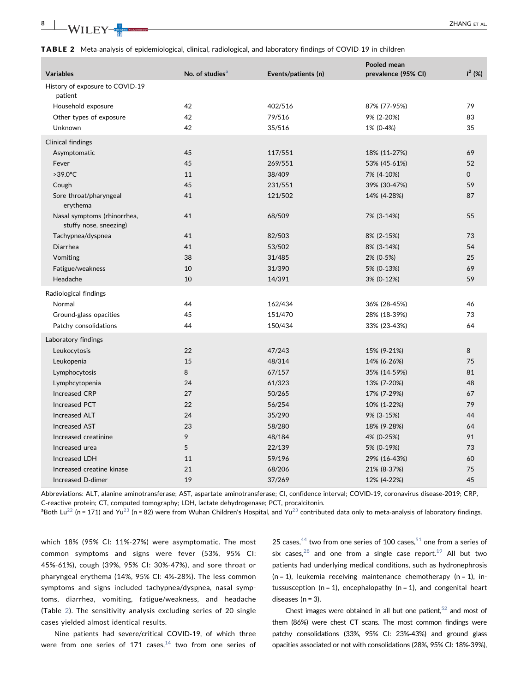<span id="page-7-0"></span>TABLE 2 Meta-analysis of epidemiological, clinical, radiological, and laboratory findings of COVID-19 in children

| <b>Variables</b>                                      | No. of studies <sup>a</sup> | Events/patients (n) | Pooled mean<br>prevalence (95% CI) | $I^2$ (%)    |
|-------------------------------------------------------|-----------------------------|---------------------|------------------------------------|--------------|
| History of exposure to COVID-19<br>patient            |                             |                     |                                    |              |
| Household exposure                                    | 42                          | 402/516             | 87% (77-95%)                       | 79           |
| Other types of exposure                               | 42                          | 79/516              | 9% (2-20%)                         | 83           |
| Unknown                                               | 42                          | 35/516              | 1% (0-4%)                          | 35           |
| <b>Clinical findings</b>                              |                             |                     |                                    |              |
| Asymptomatic                                          | 45                          | 117/551             | 18% (11-27%)                       | 69           |
| Fever                                                 | 45                          | 269/551             | 53% (45-61%)                       | 52           |
| $>39.0^{\circ}$ C                                     | 11                          | 38/409              | 7% (4-10%)                         | $\mathsf{O}$ |
| Cough                                                 | 45                          | 231/551             | 39% (30-47%)                       | 59           |
| Sore throat/pharyngeal<br>erythema                    | 41                          | 121/502             | 14% (4-28%)                        | 87           |
| Nasal symptoms (rhinorrhea,<br>stuffy nose, sneezing) | 41                          | 68/509              | 7% (3-14%)                         | 55           |
| Tachypnea/dyspnea                                     | 41                          | 82/503              | 8% (2-15%)                         | 73           |
| Diarrhea                                              | 41                          | 53/502              | 8% (3-14%)                         | 54           |
| Vomiting                                              | 38                          | 31/485              | 2% (0-5%)                          | 25           |
| Fatigue/weakness                                      | 10                          | 31/390              | 5% (0-13%)                         | 69           |
| Headache                                              | 10                          | 14/391              | 3% (0-12%)                         | 59           |
| Radiological findings                                 |                             |                     |                                    |              |
| Normal                                                | 44                          | 162/434             | 36% (28-45%)                       | 46           |
| Ground-glass opacities                                | 45                          | 151/470             | 28% (18-39%)                       | 73           |
| Patchy consolidations                                 | 44                          | 150/434             | 33% (23-43%)                       | 64           |
| Laboratory findings                                   |                             |                     |                                    |              |
| Leukocytosis                                          | 22                          | 47/243              | 15% (9-21%)                        | 8            |
| Leukopenia                                            | 15                          | 48/314              | 14% (6-26%)                        | 75           |
| Lymphocytosis                                         | 8                           | 67/157              | 35% (14-59%)                       | 81           |
| Lymphcytopenia                                        | 24                          | 61/323              | 13% (7-20%)                        | 48           |
| <b>Increased CRP</b>                                  | 27                          | 50/265              | 17% (7-29%)                        | 67           |
| <b>Increased PCT</b>                                  | 22                          | 56/254              | 10% (1-22%)                        | 79           |
| <b>Increased ALT</b>                                  | 24                          | 35/290              | 9% (3-15%)                         | 44           |
| <b>Increased AST</b>                                  | 23                          | 58/280              | 18% (9-28%)                        | 64           |
| Increased creatinine                                  | 9                           | 48/184              | 4% (0-25%)                         | 91           |
| Increased urea                                        | 5                           | 22/139              | 5% (0-19%)                         | 73           |
| Increased LDH                                         | 11                          | 59/196              | 29% (16-43%)                       | 60           |
| Increased creatine kinase                             | 21                          | 68/206              | 21% (8-37%)                        | 75           |
| Increased D-dimer                                     | 19                          | 37/269              | 12% (4-22%)                        | 45           |

Abbreviations: ALT, alanine aminotransferase; AST, aspartate aminotransferase; CI, confidence interval; COVID‐19, coronavirus disease‐2019; CRP, C‐reactive protein; CT, computed tomography; LDH, lactate dehydrogenase; PCT, procalcitonin.

<span id="page-7-1"></span> ${}^{a}$ Both Lu<sup>[22](#page-11-0)</sup> (n = 171) and Yu<sup>[23](#page-11-0)</sup> (n = 82) were from Wuhan Children's Hospital, and Yu<sup>23</sup> contributed data only to meta-analysis of laboratory findings.

which 18% (95% CI: 11%‐27%) were asymptomatic. The most common symptoms and signs were fever (53%, 95% CI: 45%‐61%), cough (39%, 95% CI: 30%‐47%), and sore throat or pharyngeal erythema (14%, 95% CI: 4%‐28%). The less common symptoms and signs included tachypnea/dyspnea, nasal symptoms, diarrhea, vomiting, fatigue/weakness, and headache (Table [2](#page-7-0)). The sensitivity analysis excluding series of 20 single cases yielded almost identical results.

Nine patients had severe/critical COVID‐19, of which three were from one series of 171 cases, $14$  two from one series of 25 cases,  $44$  two from one series of 100 cases,  $51$  one from a series of six cases, $28$  and one from a single case report.<sup>[19](#page-11-0)</sup> All but two patients had underlying medical conditions, such as hydronephrosis  $(n = 1)$ , leukemia receiving maintenance chemotherapy  $(n = 1)$ , intussusception ( $n = 1$ ), encephalopathy ( $n = 1$ ), and congenital heart diseases  $(n = 3)$ .

Chest images were obtained in all but one patient, $52$  and most of them (86%) were chest CT scans. The most common findings were patchy consolidations (33%, 95% CI: 23%‐43%) and ground glass opacities associated or not with consolidations (28%, 95% CI: 18%‐39%),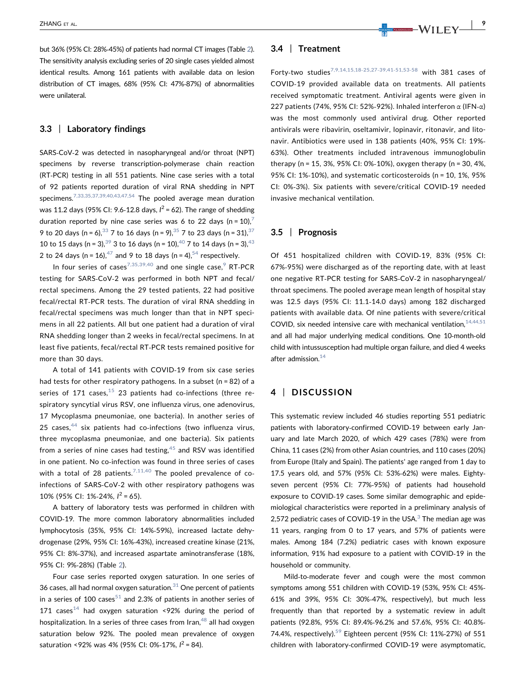but 36% (95% CI: 28%‐45%) of patients had normal CT images (Table [2\)](#page-7-0). The sensitivity analysis excluding series of 20 single cases yielded almost identical results. Among 161 patients with available data on lesion distribution of CT images, 68% (95% CI: 47%‐87%) of abnormalities were unilateral.

## 3.3 | Laboratory findings

SARS‐CoV‐2 was detected in nasopharyngeal and/or throat (NPT) specimens by reverse transcription‐polymerase chain reaction (RT‐PCR) testing in all 551 patients. Nine case series with a total of 92 patients reported duration of viral RNA shedding in NPT specimens.<sup>[7,33,35,37,39,40,43,47,54](#page-10-0)</sup> The pooled average mean duration was 11.2 days (95% CI: 9.6-12.8 days,  $l^2$  = 62). The range of shedding duration reported by nine case series was 6 to 22 days (n = 10),<sup>7</sup> 9 to 20 days (n = 6),  $33$  7 to 16 days (n = 9),  $35$  7 to 23 days (n = 31),  $37$ 10 to 15 days (n = 3),  $39$  3 to 16 days (n = 10),  $40$  7 to 14 days (n = 3),  $43$ 2 to 24 days (n = 16),  $^{47}$  $^{47}$  $^{47}$  and 9 to 18 days (n = 4),  $^{54}$  respectively.

In four series of cases<sup>[7,35,39,40](#page-10-0)</sup> and one single case,<sup>[9](#page-10-0)</sup> RT-PCR testing for SARS‐CoV‐2 was performed in both NPT and fecal/ rectal specimens. Among the 29 tested patients, 22 had positive fecal/rectal RT‐PCR tests. The duration of viral RNA shedding in fecal/rectal specimens was much longer than that in NPT specimens in all 22 patients. All but one patient had a duration of viral RNA shedding longer than 2 weeks in fecal/rectal specimens. In at least five patients, fecal/rectal RT‐PCR tests remained positive for more than 30 days.

A total of 141 patients with COVID‐19 from six case series had tests for other respiratory pathogens. In a subset (n = 82) of a series of 171 cases, $15$  23 patients had co-infections (three respiratory syncytial virus RSV, one influenza virus, one adenovirus, 17 Mycoplasma pneumoniae, one bacteria). In another series of 25 cases,  $44$  six patients had co-infections (two influenza virus, three mycoplasma pneumoniae, and one bacteria). Six patients from a series of nine cases had testing, $45$  and RSV was identified in one patient. No co-infection was found in three series of cases with a total of 28 patients.<sup>[7,11,40](#page-10-0)</sup> The pooled prevalence of coinfections of SARS‐CoV‐2 with other respiratory pathogens was 10% (95% CI: 1%‐24%, I <sup>2</sup> = 65).

A battery of laboratory tests was performed in children with COVID‐19. The more common laboratory abnormalities included lymphocytosis (35%, 95% CI: 14%‐59%), increased lactate dehydrogenase (29%, 95% CI: 16%‐43%), increased creatine kinase (21%, 95% CI: 8%‐37%), and increased aspartate aminotransferase (18%, 95% CI: 9%‐28%) (Table [2\)](#page-7-0).

Four case series reported oxygen saturation. In one series of 36 cases, all had normal oxygen saturation. $31$  One percent of patients in a series of 100 cases<sup>[51](#page-11-0)</sup> and 2.3% of patients in another series of 171 cases<sup>[14](#page-10-0)</sup> had oxygen saturation <92% during the period of hospitalization. In a series of three cases from Iran, $48$  all had oxygen saturation below 92%. The pooled mean prevalence of oxygen saturation <92% was 4% (95% CI: 0%-17%,  $I^2 = 84$ ).

#### 3.4 | Treatment

Forty-two studies<sup>[7,9,14,15,18](#page-10-0)-25,27-39,41-51,53-58</sup> with 381 cases of COVID‐19 provided available data on treatments. All patients received symptomatic treatment. Antiviral agents were given in 227 patients (74%, 95% CI: 52%‐92%). Inhaled interferon α (IFN‐α) was the most commonly used antiviral drug. Other reported antivirals were ribavirin, oseltamivir, lopinavir, ritonavir, and litonavir. Antibiotics were used in 138 patients (40%, 95% CI: 19%‐ 63%). Other treatments included intravenous immunoglobulin therapy (n = 15, 3%, 95% CI: 0%‐10%), oxygen therapy (n = 30, 4%, 95% CI: 1%‐10%), and systematic corticosteroids (n = 10, 1%, 95% CI: 0%‐3%). Six patients with severe/critical COVID‐19 needed invasive mechanical ventilation.

## 3.5 | Prognosis

Of 451 hospitalized children with COVID‐19, 83% (95% CI: 67%‐95%) were discharged as of the reporting date, with at least one negative RT‐PCR testing for SARS‐CoV‐2 in nasopharyngeal/ throat specimens. The pooled average mean length of hospital stay was 12.5 days (95% CI: 11.1‐14.0 days) among 182 discharged patients with available data. Of nine patients with severe/critical COVID, six needed intensive care with mechanical ventilation,  $14,44,51$ and all had major underlying medical conditions. One 10‐month‐old child with intussusception had multiple organ failure, and died 4 weeks after admission. $14$ 

## 4 | DISCUSSION

This systematic review included 46 studies reporting 551 pediatric patients with laboratory-confirmed COVID-19 between early January and late March 2020, of which 429 cases (78%) were from China, 11 cases (2%) from other Asian countries, and 110 cases (20%) from Europe (Italy and Spain). The patients' age ranged from 1 day to 17.5 years old, and 57% (95% CI: 53%‐62%) were males. Eighty‐ seven percent (95% CI: 77%‐95%) of patients had household exposure to COVID‐19 cases. Some similar demographic and epidemiological characteristics were reported in a preliminary analysis of 2,572 pediatric cases of COVID-19 in the USA. $3$  The median age was 11 years, ranging from 0 to 17 years, and 57% of patients were males. Among 184 (7.2%) pediatric cases with known exposure information, 91% had exposure to a patient with COVID‐19 in the household or community.

Mild-to-moderate fever and cough were the most common symptoms among 551 children with COVID‐19 (53%, 95% CI: 45%‐ 61% and 39%, 95% CI: 30%‐47%, respectively), but much less frequently than that reported by a systematic review in adult patients (92.8%, 95% CI: 89.4%‐96.2% and 57.6%, 95% CI: 40.8%‐ 74.4%, respectively).<sup>59</sup> Eighteen percent (95% CI: 11%-27%) of 551 children with laboratory‐confirmed COVID‐19 were asymptomatic,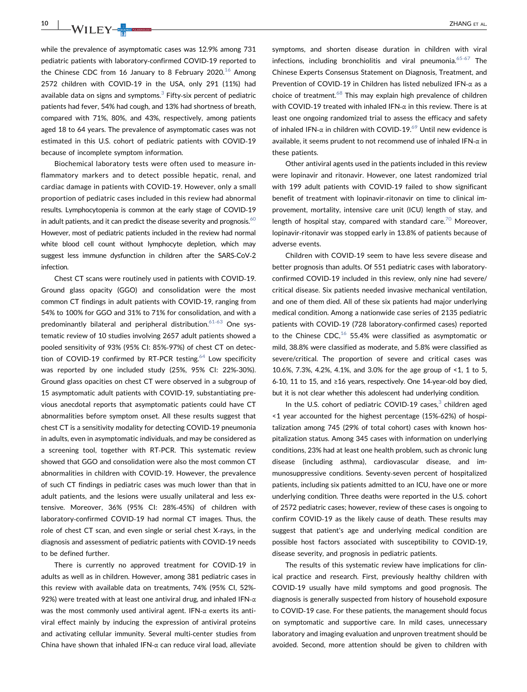while the prevalence of asymptomatic cases was 12.9% among 731 pediatric patients with laboratory‐confirmed COVID‐19 reported to the Chinese CDC from [16](#page-11-0) January to 8 February 2020.<sup>16</sup> Among 2572 children with COVID‐19 in the USA, only 291 (11%) had available data on signs and symptoms. $3$  Fifty-six percent of pediatric patients had fever, 54% had cough, and 13% had shortness of breath, compared with 71%, 80%, and 43%, respectively, among patients aged 18 to 64 years. The prevalence of asymptomatic cases was not estimated in this U.S. cohort of pediatric patients with COVID‐19 because of incomplete symptom information.

Biochemical laboratory tests were often used to measure inflammatory markers and to detect possible hepatic, renal, and cardiac damage in patients with COVID‐19. However, only a small proportion of pediatric cases included in this review had abnormal results. Lymphocytopenia is common at the early stage of COVID‐19 in adult patients, and it can predict the disease severity and prognosis. $^{60}$  $^{60}$  $^{60}$ However, most of pediatric patients included in the review had normal white blood cell count without lymphocyte depletion, which may suggest less immune dysfunction in children after the SARS‐CoV‐2 infection.

Chest CT scans were routinely used in patients with COVID‐19. Ground glass opacity (GGO) and consolidation were the most common CT findings in adult patients with COVID‐19, ranging from 54% to 100% for GGO and 31% to 71% for consolidation, and with a predominantly bilateral and peripheral distribution.<sup>[61](#page-12-0)-63</sup> One systematic review of 10 studies involving 2657 adult patients showed a pooled sensitivity of 93% (95% CI: 85%‐97%) of chest CT on detection of COVID-19 confirmed by RT-PCR testing.<sup>64</sup> Low specificity was reported by one included study (25%, 95% CI: 22%‐30%). Ground glass opacities on chest CT were observed in a subgroup of 15 asymptomatic adult patients with COVID‐19, substantiating previous anecdotal reports that asymptomatic patients could have CT abnormalities before symptom onset. All these results suggest that chest CT is a sensitivity modality for detecting COVID‐19 pneumonia in adults, even in asymptomatic individuals, and may be considered as a screening tool, together with RT‐PCR. This systematic review showed that GGO and consolidation were also the most common CT abnormalities in children with COVID‐19. However, the prevalence of such CT findings in pediatric cases was much lower than that in adult patients, and the lesions were usually unilateral and less extensive. Moreover, 36% (95% CI: 28%‐45%) of children with laboratory‐confirmed COVID‐19 had normal CT images. Thus, the role of chest CT scan, and even single or serial chest X‐rays, in the diagnosis and assessment of pediatric patients with COVID‐19 needs to be defined further.

There is currently no approved treatment for COVID‐19 in adults as well as in children. However, among 381 pediatric cases in this review with available data on treatments, 74% (95% CI, 52%‐ 92%) were treated with at least one antiviral drug, and inhaled IFN‐α was the most commonly used antiviral agent. IFN- $\alpha$  exerts its antiviral effect mainly by inducing the expression of antiviral proteins and activating cellular immunity. Several multi-center studies from China have shown that inhaled IFN- $\alpha$  can reduce viral load, alleviate symptoms, and shorten disease duration in children with viral infections, including bronchiolitis and viral pneumonia. $65-67$  $65-67$  The Chinese Experts Consensus Statement on Diagnosis, Treatment, and Prevention of COVID‐19 in Children has listed nebulized IFN‐α as a choice of treatment. $68$  This may explain high prevalence of children with COVID-19 treated with inhaled IFN-α in this review. There is at least one ongoing randomized trial to assess the efficacy and safety of inhaled IFN- $\alpha$  in children with COVID-19.<sup>[69](#page-12-0)</sup> Until new evidence is available, it seems prudent to not recommend use of inhaled IFN‐α in these patients.

Other antiviral agents used in the patients included in this review were lopinavir and ritonavir. However, one latest randomized trial with 199 adult patients with COVID‐19 failed to show significant benefit of treatment with lopinavir‐ritonavir on time to clinical improvement, mortality, intensive care unit (ICU) length of stay, and length of hospital stay, compared with standard care.<sup>70</sup> Moreover, lopinavir‐ritonavir was stopped early in 13.8% of patients because of adverse events.

Children with COVID‐19 seem to have less severe disease and better prognosis than adults. Of 551 pediatric cases with laboratory‐ confirmed COVID‐19 included in this review, only nine had severe/ critical disease. Six patients needed invasive mechanical ventilation, and one of them died. All of these six patients had major underlying medical condition. Among a nationwide case series of 2135 pediatric patients with COVID‐19 (728 laboratory‐confirmed cases) reported to the Chinese CDC, $^{16}$  $^{16}$  $^{16}$  55.4% were classified as asymptomatic or mild, 38.8% were classified as moderate, and 5.8% were classified as severe/critical. The proportion of severe and critical cases was 10.6%, 7.3%, 4.2%, 4.1%, and 3.0% for the age group of <1, 1 to 5, 6‐10, 11 to 15, and ≥16 years, respectively. One 14‐year‐old boy died, but it is not clear whether this adolescent had underlying condition.

In the U.S. cohort of pediatric COVID-19 cases, $3$  children aged <1 year accounted for the highest percentage (15%‐62%) of hospitalization among 745 (29% of total cohort) cases with known hospitalization status. Among 345 cases with information on underlying conditions, 23% had at least one health problem, such as chronic lung disease (including asthma), cardiovascular disease, and immunosuppressive conditions. Seventy‐seven percent of hospitalized patients, including six patients admitted to an ICU, have one or more underlying condition. Three deaths were reported in the U.S. cohort of 2572 pediatric cases; however, review of these cases is ongoing to confirm COVID‐19 as the likely cause of death. These results may suggest that patient's age and underlying medical condition are possible host factors associated with susceptibility to COVID‐19, disease severity, and prognosis in pediatric patients.

The results of this systematic review have implications for clinical practice and research. First, previously healthy children with COVID‐19 usually have mild symptoms and good prognosis. The diagnosis is generally suspected from history of household exposure to COVID‐19 case. For these patients, the management should focus on symptomatic and supportive care. In mild cases, unnecessary laboratory and imaging evaluation and unproven treatment should be avoided. Second, more attention should be given to children with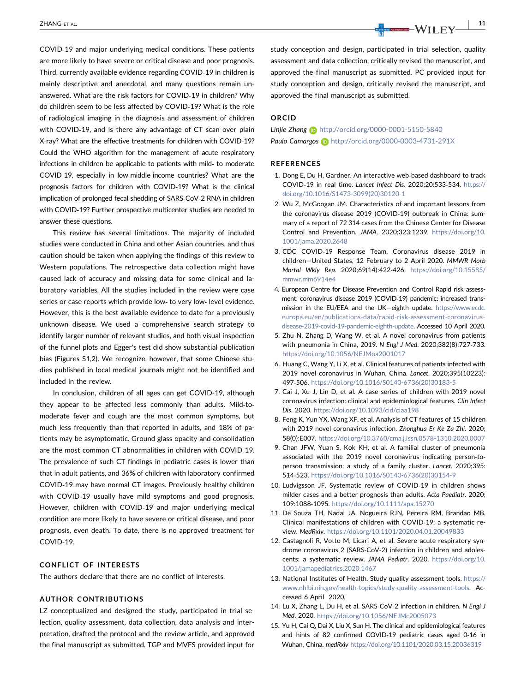COVID‐19 and major underlying medical conditions. These patients are more likely to have severe or critical disease and poor prognosis. Third, currently available evidence regarding COVID‐19 in children is mainly descriptive and anecdotal, and many questions remain unanswered. What are the risk factors for COVID‐19 in children? Why do children seem to be less affected by COVID‐19? What is the role of radiological imaging in the diagnosis and assessment of children with COVID-19, and is there any advantage of CT scan over plain X‐ray? What are the effective treatments for children with COVID‐19? Could the WHO algorithm for the management of acute respiratory infections in children be applicable to patients with mild‐ to moderate COVID‐19, especially in low‐middle‐income countries? What are the prognosis factors for children with COVID‐19? What is the clinical implication of prolonged fecal shedding of SARS‐CoV‐2 RNA in children with COVID-19? Further prospective multicenter studies are needed to answer these questions.

This review has several limitations. The majority of included studies were conducted in China and other Asian countries, and thus caution should be taken when applying the findings of this review to Western populations. The retrospective data collection might have caused lack of accuracy and missing data for some clinical and laboratory variables. All the studies included in the review were case series or case reports which provide low‐ to very low‐ level evidence. However, this is the best available evidence to date for a previously unknown disease. We used a comprehensive search strategy to identify larger number of relevant studies, and both visual inspection of the funnel plots and Egger's test did show substantial publication bias (Figures S1,2). We recognize, however, that some Chinese studies published in local medical journals might not be identified and included in the review.

In conclusion, children of all ages can get COVID‐19, although they appear to be affected less commonly than adults. Mild-tomoderate fever and cough are the most common symptoms, but much less frequently than that reported in adults, and 18% of patients may be asymptomatic. Ground glass opacity and consolidation are the most common CT abnormalities in children with COVID‐19. The prevalence of such CT findings in pediatric cases is lower than that in adult patients, and 36% of children with laboratory‐confirmed COVID‐19 may have normal CT images. Previously healthy children with COVID-19 usually have mild symptoms and good prognosis. However, children with COVID‐19 and major underlying medical condition are more likely to have severe or critical disease, and poor prognosis, even death. To date, there is no approved treatment for COVID‐19.

## CONFLICT OF INTERESTS

The authors declare that there are no conflict of interests.

#### AUTHOR CONTRIBUTIONS

LZ conceptualized and designed the study, participated in trial selection, quality assessment, data collection, data analysis and interpretation, drafted the protocol and the review article, and approved the final manuscript as submitted. TGP and MVFS provided input for

<span id="page-10-0"></span> $\frac{1}{2}$ Zhang et al.  $\frac{1}{2}$   $\frac{1}{2}$   $\frac{1}{2}$   $\frac{1}{2}$   $\frac{1}{2}$   $\frac{1}{2}$   $\frac{1}{2}$   $\frac{1}{2}$   $\frac{1}{2}$   $\frac{1}{2}$   $\frac{1}{2}$   $\frac{1}{2}$   $\frac{1}{2}$   $\frac{1}{2}$   $\frac{1}{2}$   $\frac{1}{2}$   $\frac{1}{2}$   $\frac{1}{2}$   $\frac{1}{2}$   $\frac{1}{2}$ 

study conception and design, participated in trial selection, quality assessment and data collection, critically revised the manuscript, and approved the final manuscript as submitted. PC provided input for study conception and design, critically revised the manuscript, and approved the final manuscript as submitted.

## ORCID

## Liniie Zhang **b** <http://orcid.org/0000-0001-5150-5840> Paulo Camargos **b** <http://orcid.org/0000-0003-4731-291X>

#### REFERENCES

- 1. Dong E, Du H, Gardner. An interactive web‐based dashboard to track COVID‐19 in real time. Lancet Infect Dis. 2020;20:533‐534. [https://](https://doi.org/10.1016/S1473-3099(20)30120-1) [doi.org/10.1016/S1473-3099\(20\)30120-1](https://doi.org/10.1016/S1473-3099(20)30120-1)
- 2. Wu Z, McGoogan JM. Characteristics of and important lessons from the coronavirus disease 2019 (COVID‐19) outbreak in China: summary of a report of 72 314 cases from the Chinese Center for Disease Control and Prevention. JAMA. 2020;323:1239. [https://doi.org/10.](https://doi.org/10.1001/jama.2020.2648) [1001/jama.2020.2648](https://doi.org/10.1001/jama.2020.2648)
- 3. CDC COVID‐19 Response Team. Coronavirus disease 2019 in children—United States, 12 February to 2 April 2020. MMWR Morb Mortal Wkly Rep. 2020;69(14):422‐426. [https://doi.org/10.15585/](https://doi.org/10.15585/mmwr.mm6914e4) [mmwr.mm6914e4](https://doi.org/10.15585/mmwr.mm6914e4)
- 4. European Centre for Disease Prevention and Control Rapid risk assessment: coronavirus disease 2019 (COVID‐19) pandemic: increased transmission in the EU/EEA and the UK—eighth update. [https://www.ecdc.](https://www.ecdc.europa.eu/en/publications%2010data/rapid%2010risk%2010assessment%2010coronavirus%2010disease%20102019%2010covid%201019%2010pandemic%2010eighth%2010update) [europa.eu/en/publications-data/rapid-risk-assessment-coronavirus](https://www.ecdc.europa.eu/en/publications%2010data/rapid%2010risk%2010assessment%2010coronavirus%2010disease%20102019%2010covid%201019%2010pandemic%2010eighth%2010update)[disease-2019-covid-19-pandemic-eighth-update](https://www.ecdc.europa.eu/en/publications%2010data/rapid%2010risk%2010assessment%2010coronavirus%2010disease%20102019%2010covid%201019%2010pandemic%2010eighth%2010update). Accessed 10 April 2020.
- 5. Zhu N, Zhang D, Wang W, et al. A novel coronavirus from patients with pneumonia in China, 2019. N Engl J Med. 2020;382(8):727‐733. <https://doi.org/10.1056/NEJMoa2001017>
- 6. Huang C, Wang Y, Li X, et al. Clinical features of patients infected with 2019 novel coronavirus in Wuhan, China. Lancet. 2020;395(10223): 497‐506. [https://doi.org/10.1016/S0140-6736\(20\)30183-5](https://doi.org/10.1016/S0140-6736(20)30183-5)
- 7. Cai J, Xu J, Lin D, et al. A case series of children with 2019 novel coronavirus infection: clinical and epidemiological features. Clin Infect Dis. 2020. <https://doi.org/10.1093/cid/ciaa198>
- 8. Feng K, Yun YX, Wang XF, et al. Analysis of CT features of 15 children with 2019 novel coronavirus infection. Zhonghua Er Ke Za Zhi. 2020; 58(0):E007. <https://doi.org/10.3760/cma.j.issn.0578-1310.2020.0007>
- 9. Chan JFW, Yuan S, Kok KH, et al. A familial cluster of pneumonia associated with the 2019 novel coronavirus indicating person-toperson transmission: a study of a family cluster. Lancet. 2020;395: 514‐523. [https://doi.org/10.1016/S0140-6736\(20\)30154-9](https://doi.org/10.1016/S0140-6736(20)30154-9)
- 10. Ludvigsson JF. Systematic review of COVID‐19 in children shows milder cases and a better prognosis than adults. Acta Paediatr. 2020; 109:1088‐1095. <https://doi.org/10.1111/apa.15270>
- 11. De Souza TH, Nadal JA, Nogueira RJN, Pereira RM, Brandao MB. Clinical manifestations of children with COVID‐19: a systematic review. MedRxiv. <https://doi.org/10.1101/2020.04.01.20049833>
- 12. Castagnoli R, Votto M, Licari A, et al. Severe acute respiratory syndrome coronavirus 2 (SARS‐CoV‐2) infection in children and adolescents: a systematic review. JAMA Pediatr. 2020. [https://doi.org/10.](https://doi.org/10.1001/jamapediatrics.2020.1467) [1001/jamapediatrics.2020.1467](https://doi.org/10.1001/jamapediatrics.2020.1467)
- 13. National Institutes of Health. Study quality assessment tools. [https://](https://www.nhlbi.nih.gov/health%2010topics/study%2010quality%2010assessment%2010tools) [www.nhlbi.nih.gov/health-topics/study-quality-assessment-tools.](https://www.nhlbi.nih.gov/health%2010topics/study%2010quality%2010assessment%2010tools) Accessed 6 April 2020.
- 14. Lu X, Zhang L, Du H, et al. SARS-CoV-2 infection in children. N Engl J Med. 2020. <https://doi.org/10.1056/NEJMc2005073>
- 15. Yu H, Cai Q, Dai X, Liu X, Sun H. The clinical and epidemiological features and hints of 82 confirmed COVID‐19 pediatric cases aged 0‐16 in Wuhan, China. medRxiv <https://doi.org/10.1101/2020.03.15.20036319>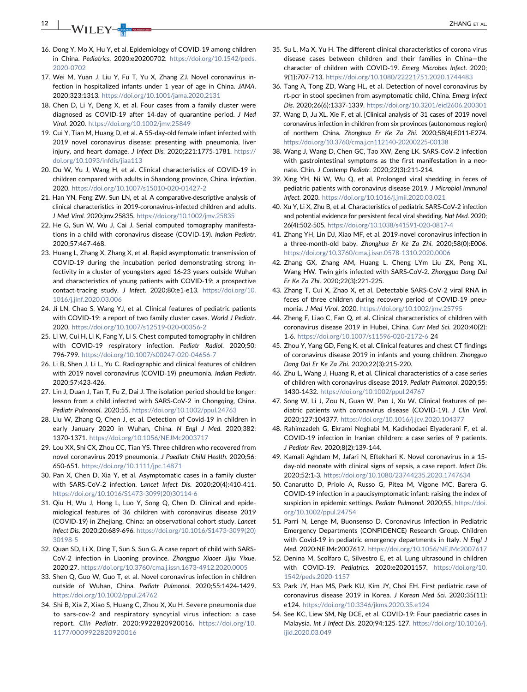<span id="page-11-0"></span>12 | W/II FV **Top The Contract of AL.** 

- 16. Dong Y, Mo X, Hu Y, et al. Epidemiology of COVID‐19 among children in China. Pediatrics. 2020:e20200702. [https://doi.org/10.1542/peds.](https://doi.org/10.1542/peds.2020-0702) [2020-0702](https://doi.org/10.1542/peds.2020-0702)
- 17. Wei M, Yuan J, Liu Y, Fu T, Yu X, Zhang ZJ. Novel coronavirus infection in hospitalized infants under 1 year of age in China. JAMA. 2020;323:1313. <https://doi.org/10.1001/jama.2020.2131>
- 18. Chen D, Li Y, Deng X, et al. Four cases from a family cluster were diagnosed as COVID‐19 after 14‐day of quarantine period. J Med Virol. 2020. <https://doi.org/10.1002/jmv.25849>
- 19. Cui Y, Tian M, Huang D, et al. A 55‐day‐old female infant infected with 2019 novel coronavirus disease: presenting with pneumonia, liver injury, and heart damage. J Infect Dis. 2020;221:1775‐1781. [https://](https://doi.org/10.1093/infdis/jiaa113) [doi.org/10.1093/infdis/jiaa113](https://doi.org/10.1093/infdis/jiaa113)
- 20. Du W, Yu J, Wang H, et al. Clinical characteristics of COVID‐19 in children compared with adults in Shandong province, China. Infection. 2020. <https://doi.org/10.1007/s15010-020-01427-2>
- 21. Han YN, Feng ZW, Sun LN, et al. A comparative‐descriptive analysis of clinical characteristics in 2019‐coronavirus‐infected children and adults. J Med Virol. 2020:jmv.25835. <https://doi.org/10.1002/jmv.25835>
- 22. He G, Sun W, Wu J, Cai J. Serial computed tomography manifestations in a child with coronavirus disease (COVID‐19). Indian Pediatr. 2020;57:467‐468.
- 23. Huang L, Zhang X, Zhang X, et al. Rapid asymptomatic transmission of COVID‐19 during the incubation period demonstrating strong infectivity in a cluster of youngsters aged 16‐23 years outside Wuhan and characteristics of young patients with COVID‐19: a prospective contact-tracing study. J Infect. 2020;80:e1-e13. [https://doi.org/10.](https://doi.org/10.1016/j.jinf.2020.03.006) [1016/j.jinf.2020.03.006](https://doi.org/10.1016/j.jinf.2020.03.006)
- 24. Ji LN, Chao S, Wang YJ, et al. Clinical features of pediatric patients with COVID-19: a report of two family cluster cases. World J Pediatr. 2020. <https://doi.org/10.1007/s12519-020-00356-2>
- 25. Li W, Cui H, Li K, Fang Y, Li S. Chest computed tomography in children with COVID-19 respiratory infection. Pediatr Radiol. 2020;50: 796‐799. <https://doi.org/10.1007/s00247-020-04656-7>
- 26. Li B, Shen J, Li L, Yu C. Radiographic and clinical features of children with 2019 novel coronavirus (COVID‐19) pneumonia. Indian Pediatr. 2020;57:423‐426.
- 27. Lin J, Duan J, Tan T, Fu Z, Dai J. The isolation period should be longer: lesson from a child infected with SARS‐CoV‐2 in Chongqing, China. Pediatr Pulmonol. 2020;55. <https://doi.org/10.1002/ppul.24763>
- 28. Liu W, Zhang Q, Chen J, et al. Detection of Covid‐19 in children in early January 2020 in Wuhan, China. N Engl J Med. 2020;382: 1370‐1371. <https://doi.org/10.1056/NEJMc2003717>
- 29. Lou XX, Shi CX, Zhou CC, Tian YS. Three children who recovered from novel coronavirus 2019 pneumonia. J Paediatr Child Health. 2020;56: 650‐651. <https://doi.org/10.1111/jpc.14871>
- 30. Pan X, Chen D, Xia Y, et al. Asymptomatic cases in a family cluster with SARS‐CoV‐2 infection. Lancet Infect Dis. 2020;20(4):410‐411. [https://doi.org/10.1016/S1473-3099\(20\)30114-6](https://doi.org/10.1016/S1473-3099(20)30114-6)
- 31. Qiu H, Wu J, Hong L, Luo Y, Song Q, Chen D. Clinical and epidemiological features of 36 children with coronavirus disease 2019 (COVID‐19) in Zhejiang, China: an observational cohort study. Lancet Infect Dis. 2020;20:689‐696. [https://doi.org/10.1016/S1473-3099\(20\)](https://doi.org/10.1016/S1473-3099(20)30198-5) [30198-5](https://doi.org/10.1016/S1473-3099(20)30198-5)
- 32. Quan SD, Li X, Ding T, Sun S, Sun G. A case report of child with SARS‐ CoV‐2 infection in Liaoning province. Zhongguo Xiaoer Jijiu Yixue. 2020:27. <https://doi.org/10.3760/cma.j.issn.1673-4912.2020.0005>
- 33. Shen Q, Guo W, Guo T, et al. Novel coronavirus infection in children outside of Wuhan, China. Pediatr Pulmonol. 2020;55:1424‐1429. <https://doi.org/10.1002/ppul.24762>
- 34. Shi B, Xia Z, Xiao S, Huang C, Zhou X, Xu H. Severe pneumonia due to sars‐cov‐2 and respiratory syncytial virus infection: a case report. Clin Pediatr. 2020:9922820920016. [https://doi.org/10.](https://doi.org/10.1177/0009922820920016) [1177/0009922820920016](https://doi.org/10.1177/0009922820920016)
- 35. Su L, Ma X, Yu H. The different clinical characteristics of corona virus disease cases between children and their families in China—the character of children with COVID‐19. Emerg Microbes Infect. 2020; 9(1):707‐713. <https://doi.org/10.1080/22221751.2020.1744483>
- 36. Tang A, Tong ZD, Wang HL, et al. Detection of novel coronavirus by rt‐pcr in stool specimen from asymptomatic child, China. Emerg Infect Dis. 2020;26(6):1337‐1339. <https://doi.org/10.3201/eid2606.200301>
- 37. Wang D, Ju XL, Xie F, et al. [Clinical analysis of 31 cases of 2019 novel coronavirus infection in children from six provinces (autonomous region) of northern China. Zhonghua Er Ke Za Zhi. 2020;58(4):E011‐E274. <https://doi.org/10.3760/cma.j.cn112140-20200225-00138>
- 38. Wang J, Wang D, Chen GC, Tao XW, Zeng LK. SARS‐CoV‐2 infection with gastrointestinal symptoms as the first manifestation in a neonate. Chin. J Contemp Pediatr. 2020;22(3):211‐214.
- 39. Xing YH, Ni W, Wu Q, et al. Prolonged viral shedding in feces of pediatric patients with coronavirus disease 2019. J Microbiol Immunol Infect. 2020. <https://doi.org/10.1016/j.jmii.2020.03.021>
- 40. Xu Y, Li X, Zhu B, et al. Characteristics of pediatric SARS‐CoV‐2 infection and potential evidence for persistent fecal viral shedding. Nat Med. 2020; 26(4):502‐505. <https://doi.org/10.1038/s41591-020-0817-4>
- 41. Zhang YH, Lin DJ, Xiao MF, et al. 2019‐novel coronavirus infection in a three‐month‐old baby. Zhonghua Er Ke Za Zhi. 2020;58(0):E006. <https://doi.org/10.3760/cma.j.issn.0578-1310.2020.0006>
- 42. Zhang GX, Zhang AM, Huang L, Cheng LYm Liu ZX, Peng XL, Wang HW. Twin girls infected with SARS‐CoV‐2. Zhongguo Dang Dai Er Ke Za Zhi. 2020;22(3):221‐225.
- 43. Zhang T, Cui X, Zhao X, et al. Detectable SARS‐CoV‐2 viral RNA in feces of three children during recovery period of COVID‐19 pneumonia. J Med Virol. 2020. <https://doi.org/10.1002/jmv.25795>
- 44. Zheng F, Liao C, Fan Q, et al. Clinical characteristics of children with coronavirus disease 2019 in Hubei, China. Curr Med Sci. 2020;40(2): 1‐6. <https://doi.org/10.1007/s11596-020-2172-6> 24
- 45. Zhou Y, Yang GD, Feng K, et al. Clinical features and chest CT findings of coronavirus disease 2019 in infants and young children. Zhongguo Dang Dai Er Ke Za Zhi. 2020;22(3):215‐220.
- 46. Zhu L, Wang J, Huang R, et al. Clinical characteristics of a case series of children with coronavirus disease 2019. Pediatr Pulmonol. 2020;55: 1430‐1432. <https://doi.org/10.1002/ppul.24767>
- 47. Song W, Li J, Zou N, Guan W, Pan J, Xu W. Clinical features of pediatric patients with coronavirus disease (COVID‐19). J Clin Virol. 2020;127:104377. <https://doi.org/10.1016/j.jcv.2020.104377>
- 48. Rahimzadeh G, Ekrami Noghabi M, Kadkhodaei Elyaderani F, et al. COVID‐19 infection in Iranian children: a case series of 9 patients. J Pediatr Rev. 2020;8(2):139‐144.
- 49. Kamali Aghdam M, Jafari N, Eftekhari K. Novel coronavirus in a 15‐ day‐old neonate with clinical signs of sepsis, a case report. Infect Dis. 2020;52:1‐3. <https://doi.org/10.1080/23744235.2020.1747634>
- 50. Canarutto D, Priolo A, Russo G, Pitea M, Vigone MC, Barera G. COVID‐19 infection in a paucisymptomatic infant: raising the index of suspicion in epidemic settings. Pediatr Pulmonol. 2020;55, [https://doi.](https://doi.org/10.1002/ppul.24754) [org/10.1002/ppul.24754](https://doi.org/10.1002/ppul.24754)
- 51. Parri N, Lenge M, Buonsenso D. Coronavirus Infection in Pediatric Emergency Departments (CONFIDENCE) Research Group. Children with Covid-19 in pediatric emergency departments in Italy. N Engl J Med. 2020:NEJMc2007617. <https://doi.org/10.1056/NEJMc2007617>
- 52. Denina M, Scolfaro C, Silvestro E, et al. Lung ultrasound in children with COVID‐19. Pediatrics. 2020:e20201157. [https://doi.org/10.](https://doi.org/10.1542/peds.2020-1157) [1542/peds.2020-1157](https://doi.org/10.1542/peds.2020-1157)
- 53. Park JY, Han MS, Park KU, Kim JY, Choi EH. First pediatric case of coronavirus disease 2019 in Korea. J Korean Med Sci. 2020;35(11): e124. <https://doi.org/10.3346/jkms.2020.35.e124>
- 54. See KC, Liew SM, Ng DCE, et al. COVID‐19: Four paediatric cases in Malaysia. Int J Infect Dis. 2020;94:125‐127. [https://doi.org/10.1016/j.](https://doi.org/10.1016/j.ijid.2020.03.049) [ijid.2020.03.049](https://doi.org/10.1016/j.ijid.2020.03.049)